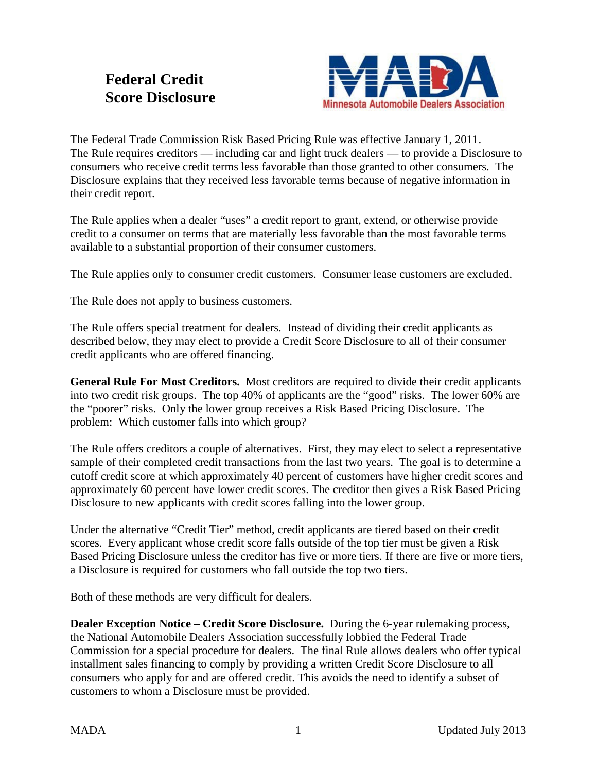## **Federal Credit Score Disclosure**



The Federal Trade Commission Risk Based Pricing Rule was effective January 1, 2011. The Rule requires creditors — including car and light truck dealers — to provide a Disclosure to consumers who receive credit terms less favorable than those granted to other consumers. The Disclosure explains that they received less favorable terms because of negative information in their credit report.

The Rule applies when a dealer "uses" a credit report to grant, extend, or otherwise provide credit to a consumer on terms that are materially less favorable than the most favorable terms available to a substantial proportion of their consumer customers.

The Rule applies only to consumer credit customers. Consumer lease customers are excluded.

The Rule does not apply to business customers.

The Rule offers special treatment for dealers. Instead of dividing their credit applicants as described below, they may elect to provide a Credit Score Disclosure to all of their consumer credit applicants who are offered financing.

**General Rule For Most Creditors.** Most creditors are required to divide their credit applicants into two credit risk groups. The top 40% of applicants are the "good" risks. The lower 60% are the "poorer" risks. Only the lower group receives a Risk Based Pricing Disclosure. The problem: Which customer falls into which group?

The Rule offers creditors a couple of alternatives. First, they may elect to select a representative sample of their completed credit transactions from the last two years. The goal is to determine a cutoff credit score at which approximately 40 percent of customers have higher credit scores and approximately 60 percent have lower credit scores. The creditor then gives a Risk Based Pricing Disclosure to new applicants with credit scores falling into the lower group.

Under the alternative "Credit Tier" method, credit applicants are tiered based on their credit scores. Every applicant whose credit score falls outside of the top tier must be given a Risk Based Pricing Disclosure unless the creditor has five or more tiers. If there are five or more tiers, a Disclosure is required for customers who fall outside the top two tiers.

Both of these methods are very difficult for dealers.

**Dealer Exception Notice – Credit Score Disclosure.** During the 6-year rulemaking process, the National Automobile Dealers Association successfully lobbied the Federal Trade Commission for a special procedure for dealers. The final Rule allows dealers who offer typical installment sales financing to comply by providing a written Credit Score Disclosure to all consumers who apply for and are offered credit. This avoids the need to identify a subset of customers to whom a Disclosure must be provided.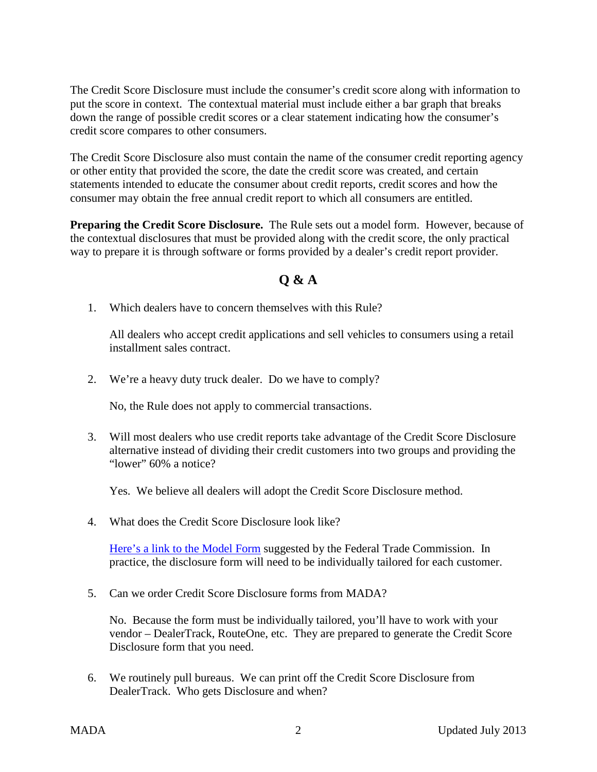The Credit Score Disclosure must include the consumer's credit score along with information to put the score in context. The contextual material must include either a bar graph that breaks down the range of possible credit scores or a clear statement indicating how the consumer's credit score compares to other consumers.

The Credit Score Disclosure also must contain the name of the consumer credit reporting agency or other entity that provided the score, the date the credit score was created, and certain statements intended to educate the consumer about credit reports, credit scores and how the consumer may obtain the free annual credit report to which all consumers are entitled.

**Preparing the Credit Score Disclosure.** The Rule sets out a model form. However, because of the contextual disclosures that must be provided along with the credit score, the only practical way to prepare it is through software or forms provided by a dealer's credit report provider.

## **Q & A**

1. Which dealers have to concern themselves with this Rule?

All dealers who accept credit applications and sell vehicles to consumers using a retail installment sales contract.

2. We're a heavy duty truck dealer. Do we have to comply?

No, the Rule does not apply to commercial transactions.

3. Will most dealers who use credit reports take advantage of the Credit Score Disclosure alternative instead of dividing their credit customers into two groups and providing the "lower" 60% a notice?

Yes. We believe all dealers will adopt the Credit Score Disclosure method.

4. What does the Credit Score Disclosure look like?

[Here's a link to the Model Form](https://www.law.cornell.edu/cfr/text/12/appendix-H_to_part_222) suggested by the Federal Trade Commission. In practice, the disclosure form will need to be individually tailored for each customer.

5. Can we order Credit Score Disclosure forms from MADA?

No. Because the form must be individually tailored, you'll have to work with your vendor – DealerTrack, RouteOne, etc. They are prepared to generate the Credit Score Disclosure form that you need.

6. We routinely pull bureaus. We can print off the Credit Score Disclosure from DealerTrack. Who gets Disclosure and when?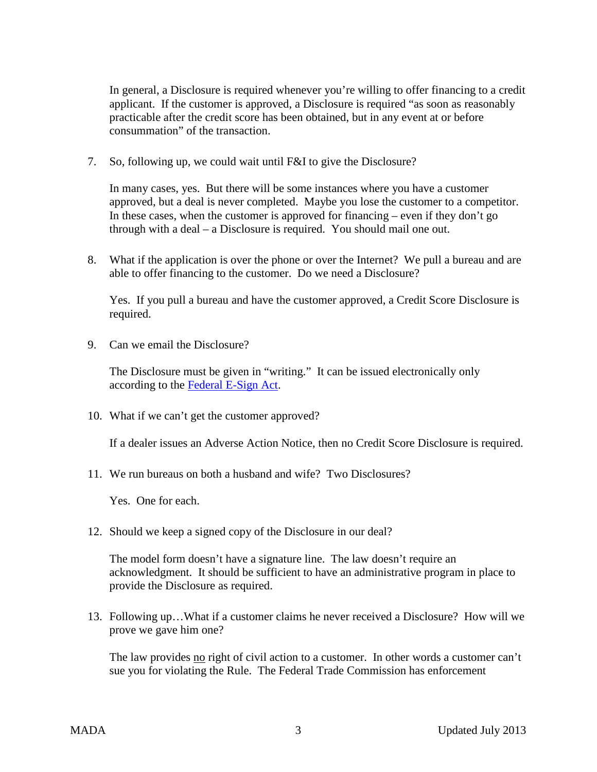In general, a Disclosure is required whenever you're willing to offer financing to a credit applicant. If the customer is approved, a Disclosure is required "as soon as reasonably practicable after the credit score has been obtained, but in any event at or before consummation" of the transaction.

7. So, following up, we could wait until F&I to give the Disclosure?

In many cases, yes. But there will be some instances where you have a customer approved, but a deal is never completed. Maybe you lose the customer to a competitor. In these cases, when the customer is approved for financing – even if they don't go through with a deal – a Disclosure is required. You should mail one out.

8. What if the application is over the phone or over the Internet? We pull a bureau and are able to offer financing to the customer. Do we need a Disclosure?

Yes. If you pull a bureau and have the customer approved, a Credit Score Disclosure is required.

9. Can we email the Disclosure?

The Disclosure must be given in "writing." It can be issued electronically only according to the [Federal E-Sign Act.](http://en.wikipedia.org/wiki/Electronic_Signatures_in_Global_and_National_Commerce_Act)

10. What if we can't get the customer approved?

If a dealer issues an Adverse Action Notice, then no Credit Score Disclosure is required.

11. We run bureaus on both a husband and wife? Two Disclosures?

Yes. One for each.

12. Should we keep a signed copy of the Disclosure in our deal?

The model form doesn't have a signature line. The law doesn't require an acknowledgment. It should be sufficient to have an administrative program in place to provide the Disclosure as required.

13. Following up…What if a customer claims he never received a Disclosure? How will we prove we gave him one?

The law provides no right of civil action to a customer. In other words a customer can't sue you for violating the Rule. The Federal Trade Commission has enforcement